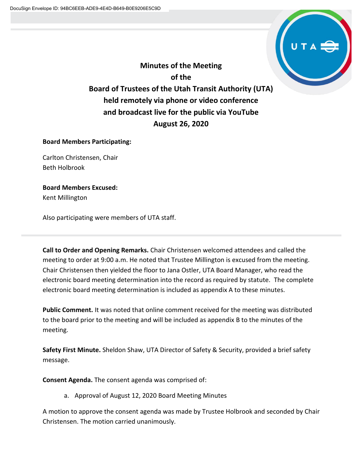

**Minutes of the Meeting of the Board of Trustees of the Utah Transit Authority (UTA) held remotely via phone or video conference and broadcast live for the public via YouTube August 26, 2020**

# **Board Members Participating:**

Carlton Christensen, Chair Beth Holbrook

**Board Members Excused:** Kent Millington

Also participating were members of UTA staff.

**Call to Order and Opening Remarks.** Chair Christensen welcomed attendees and called the meeting to order at 9:00 a.m. He noted that Trustee Millington is excused from the meeting. Chair Christensen then yielded the floor to Jana Ostler, UTA Board Manager, who read the electronic board meeting determination into the record as required by statute. The complete electronic board meeting determination is included as appendix A to these minutes.

**Public Comment.** It was noted that online comment received for the meeting was distributed to the board prior to the meeting and will be included as appendix B to the minutes of the meeting.

**Safety First Minute.** Sheldon Shaw, UTA Director of Safety & Security, provided a brief safety message.

**Consent Agenda.** The consent agenda was comprised of:

a. Approval of August 12, 2020 Board Meeting Minutes

A motion to approve the consent agenda was made by Trustee Holbrook and seconded by Chair Christensen. The motion carried unanimously.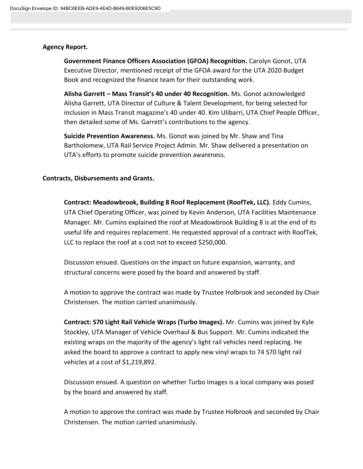# **Agency Report.**

**Government Finance Officers Association (GFOA) Recognition.** Carolyn Gonot, UTA Executive Director, mentioned receipt of the GFOA award for the UTA 2020 Budget Book and recognized the finance team for their outstanding work.

**Alisha Garrett – Mass Transit's 40 under 40 Recognition.** Ms. Gonot acknowledged Alisha Garrett, UTA Director of Culture & Talent Development, for being selected for inclusion in Mass Transit magazine's 40 under 40. Kim Ulibarri, UTA Chief People Officer, then detailed some of Ms. Garrett's contributions to the agency.

**Suicide Prevention Awareness.** Ms. Gonot was joined by Mr. Shaw and Tina Bartholomew, UTA Rail Service Project Admin. Mr. Shaw delivered a presentation on UTA's efforts to promote suicide prevention awareness.

# **Contracts, Disbursements and Grants.**

**Contract: Meadowbrook, Building 8 Roof Replacement (RoofTek, LLC).** Eddy Cumins, UTA Chief Operating Officer, was joined by Kevin Anderson, UTA Facilities Maintenance Manager. Mr. Cumins explained the roof at Meadowbrook Building 8 is at the end of its useful life and requires replacement. He requested approval of a contract with RoofTek, LLC to replace the roof at a cost not to exceed \$250,000.

Discussion ensued. Questions on the impact on future expansion, warranty, and structural concerns were posed by the board and answered by staff.

A motion to approve the contract was made by Trustee Holbrook and seconded by Chair Christensen. The motion carried unanimously.

**Contract: S70 Light Rail Vehicle Wraps (Turbo Images).** Mr. Cumins was joined by Kyle Stockley, UTA Manager of Vehicle Overhaul & Bus Support. Mr. Cumins indicated the existing wraps on the majority of the agency's light rail vehicles need replacing. He asked the board to approve a contract to apply new vinyl wraps to 74 S70 light rail vehicles at a cost of \$1,219,892.

Discussion ensued. A question on whether Turbo Images is a local company was posed by the board and answered by staff.

A motion to approve the contract was made by Trustee Holbrook and seconded by Chair Christensen. The motion carried unanimously.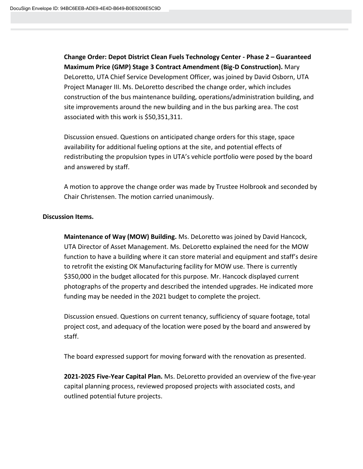**Change Order: Depot District Clean Fuels Technology Center - Phase 2 – Guaranteed Maximum Price (GMP) Stage 3 Contract Amendment (Big-D Construction).** Mary DeLoretto, UTA Chief Service Development Officer, was joined by David Osborn, UTA Project Manager III. Ms. DeLoretto described the change order, which includes construction of the bus maintenance building, operations/administration building, and site improvements around the new building and in the bus parking area. The cost associated with this work is \$50,351,311.

Discussion ensued. Questions on anticipated change orders for this stage, space availability for additional fueling options at the site, and potential effects of redistributing the propulsion types in UTA's vehicle portfolio were posed by the board and answered by staff.

A motion to approve the change order was made by Trustee Holbrook and seconded by Chair Christensen. The motion carried unanimously.

### **Discussion Items.**

**Maintenance of Way (MOW) Building.** Ms. DeLoretto was joined by David Hancock, UTA Director of Asset Management. Ms. DeLoretto explained the need for the MOW function to have a building where it can store material and equipment and staff's desire to retrofit the existing OK Manufacturing facility for MOW use. There is currently \$350,000 in the budget allocated for this purpose. Mr. Hancock displayed current photographs of the property and described the intended upgrades. He indicated more funding may be needed in the 2021 budget to complete the project.

Discussion ensued. Questions on current tenancy, sufficiency of square footage, total project cost, and adequacy of the location were posed by the board and answered by staff.

The board expressed support for moving forward with the renovation as presented.

**2021-2025 Five-Year Capital Plan.** Ms. DeLoretto provided an overview of the five-year capital planning process, reviewed proposed projects with associated costs, and outlined potential future projects.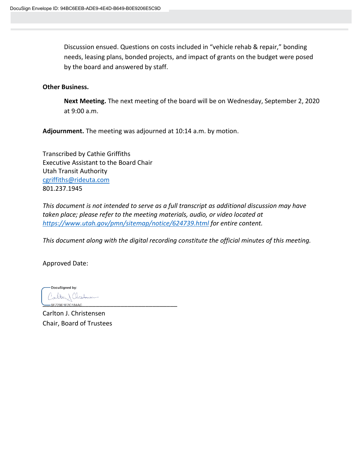Discussion ensued. Questions on costs included in "vehicle rehab & repair," bonding needs, leasing plans, bonded projects, and impact of grants on the budget were posed by the board and answered by staff.

## **Other Business.**

**Next Meeting.** The next meeting of the board will be on Wednesday, September 2, 2020 at 9:00 a.m.

**Adjournment.** The meeting was adjourned at 10:14 a.m. by motion.

Transcribed by Cathie Griffiths Executive Assistant to the Board Chair Utah Transit Authority [cgriffiths@rideuta.com](mailto:cgriffiths@rideuta.com) 801.237.1945

*This document is not intended to serve as a full transcript as additional discussion may have taken place; please refer to the meeting materials, audio, or video located at <https://www.utah.gov/pmn/sitemap/notice/624739.html> for entire content.*

*This document along with the digital recording constitute the official minutes of this meeting.*

Approved Date:

DocuSigned by: arlton) Chrobonien 9F729E1F2C184AC

Carlton J. Christensen Chair, Board of Trustees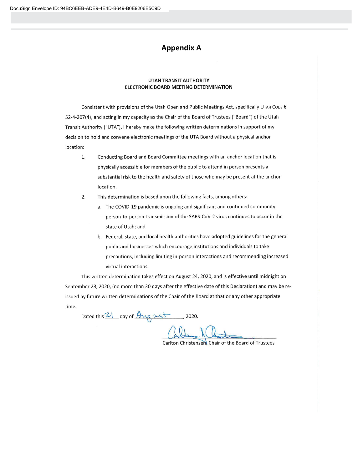# **Appendix A**

#### **UTAH TRANSIT AUTHORITY** ELECTRONIC BOARD MEETING DETERMINATION

Consistent with provisions of the Utah Open and Public Meetings Act, specifically UTAH CODE § 52-4-207(4), and acting in my capacity as the Chair of the Board of Trustees ("Board") of the Utah Transit Authority ("UTA"), I hereby make the following written determinations in support of my decision to hold and convene electronic meetings of the UTA Board without a physical anchor location:

- Conducting Board and Board Committee meetings with an anchor location that is 1. physically accessible for members of the public to attend in person presents a substantial risk to the health and safety of those who may be present at the anchor location.
- $2.$ This determination is based upon the following facts, among others:
	- a. The COVID-19 pandemic is ongoing and significant and continued community, person-to-person transmission of the SARS-CoV-2 virus continues to occur in the state of Utah; and
	- b. Federal, state, and local health authorities have adopted guidelines for the general public and businesses which encourage institutions and individuals to take precautions, including limiting in-person interactions and recommending increased virtual interactions.

This written determination takes effect on August 24, 2020, and is effective until midnight on September 23, 2020, (no more than 30 days after the effective date of this Declaration) and may be reissued by future written determinations of the Chair of the Board at that or any other appropriate time.

Dated this 21 day of August , 2020.

Carlton Christensen Chair of the Board of Trustees